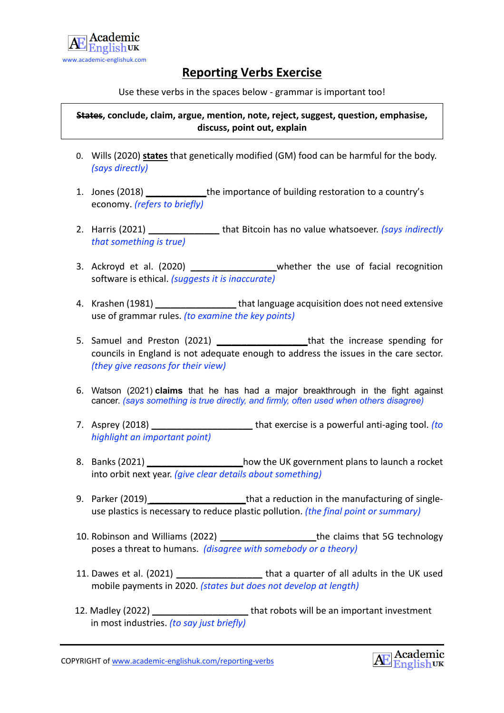

## **Reporting Verbs Exercise**

Use these verbs in the spaces below - grammar is important too!

**States, conclude, claim, argue, mention, note, reject, suggest, question, emphasise, discuss, point out, explain**

- 0. Wills (2020) **states** that genetically modified (GM) food can be harmful for the body. *(says directly)*
- 1. Jones (2018) **\_\_\_\_\_\_\_\_\_\_\_\_**the importance of building restoration to a country's economy. *(refers to briefly)*
- 2. Harris (2021) **\_\_\_\_\_\_\_\_\_\_\_\_\_\_** that Bitcoin has no value whatsoever. *(says indirectly that something is true)*
- 3. Ackroyd et al. (2020) **\_\_\_\_\_\_\_\_\_\_\_\_\_\_\_\_\_**whether the use of facial recognition software is ethical. *(suggests it is inaccurate)*
- 4. Krashen (1981) **\_\_\_\_\_\_\_\_\_\_\_\_\_\_\_\_** that language acquisition does not need extensive use of grammar rules. *(to examine the key points)*
- 5. Samuel and Preston (2021) **\_\_\_\_\_\_\_\_\_\_\_\_\_\_\_\_\_\_**that the increase spending for councils in England is not adequate enough to address the issues in the care sector. *(they give reasons for their view)*
- 6. Watson (2021) **claims** that he has had a major breakthrough in the fight against cancer. *(says something is true directly, and firmly, often used when others disagree)*
- 7. Asprey (2018) **\_\_\_\_\_\_\_\_\_\_\_\_\_\_\_\_\_\_\_\_** that exercise is a powerful anti-aging tool. *(to highlight an important point)*
- 8. Banks (2021) **\_\_\_\_\_\_\_\_\_\_\_\_\_\_\_\_\_\_\_**how the UK government plans to launch a rocket into orbit next year. *(give clear details about something)*
- 9. Parker (2019) *Parker (2019) p. 0.1919 p. 1018 p. 1018* **<b>***p. 1018 p. 1018 p. 1018**a* **reduction in the manufacturing of single**use plastics is necessary to reduce plastic pollution. *(the final point or summary)*
- 10. Robinson and Williams (2022) **\_\_\_\_\_\_\_\_\_\_\_\_\_\_\_\_\_\_\_**the claims that 5G technology poses a threat to humans. *(disagree with somebody or a theory)*
- 11. Dawes et al. (2021) **\_\_\_\_\_\_\_\_\_\_\_\_\_\_\_\_\_** that a quarter of all adults in the UK used mobile payments in 2020. *(states but does not develop at length)*
- 12. Madley (2022) **\_\_\_\_\_\_\_\_\_\_\_\_\_\_\_\_\_\_\_** that robots will be an important investment in most industries. *(to say just briefly)*

COPYRIGHT of www.academic-englishuk.com/reporting-verbs